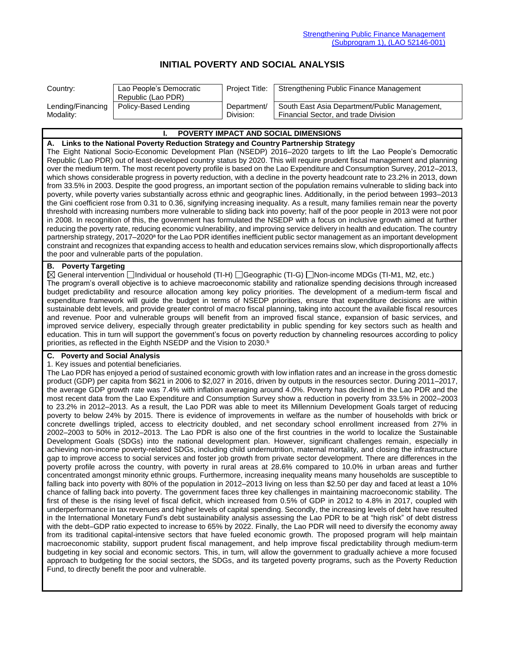# **INITIAL POVERTY AND SOCIAL ANALYSIS**

| Country:          | Lao People's Democratic<br>Republic (Lao PDR) | Project Title: | Strengthening Public Finance Management       |
|-------------------|-----------------------------------------------|----------------|-----------------------------------------------|
| Lending/Financing | Policy-Based Lending                          | Department/    | South East Asia Department/Public Management, |
| Modality:         |                                               | Division:      | Financial Sector, and trade Division          |

| <b>I. POVERTY IMPACT AND SOCIAL DIMENSIONS</b>                                                                                           |
|------------------------------------------------------------------------------------------------------------------------------------------|
| A. Links to the National Poverty Reduction Strategy and Country Partnership Strategy                                                     |
| The Eight National Socio-Economic Development Plan (NSEDP) 2016–2020 targets to lift the Lao People's Democratic                         |
| Republic (Lao PDR) out of least-developed country status by 2020. This will require prudent fiscal management and planning               |
| over the medium term. The most recent poverty profile is based on the Lao Expenditure and Consumption Survey, 2012-2013,                 |
| which shows considerable progress in poverty reduction, with a decline in the poverty headcount rate to 23.2% in 2013, down              |
| from 33.5% in 2003. Despite the good progress, an important section of the population remains vulnerable to sliding back into            |
| poverty, while poverty varies substantially across ethnic and geographic lines. Additionally, in the period between 1993-2013            |
| the Gini coefficient rose from 0.31 to 0.36, signifying increasing inequality. As a result, many families remain near the poverty        |
| threshold with increasing numbers more vulnerable to sliding back into poverty; half of the poor people in 2013 were not poor            |
| in 2008. In recognition of this, the government has formulated the NSEDP with a focus on inclusive growth aimed at further               |
| reducing the poverty rate, reducing economic vulnerability, and improving service delivery in health and education. The country          |
| partnership strategy, 2017–2020 <sup>a</sup> for the Lao PDR identifies inefficient public sector management as an important development |
| constraint and recognizes that expanding access to health and education services remains slow, which disproportionally affects           |
| the poor and vulnerable parts of the population.                                                                                         |

## **B. Poverty Targeting**

General intervention Individual or household (TI-H) Geographic (TI-G) Non-income MDGs (TI-M1, M2, etc.) The program's overall objective is to achieve macroeconomic stability and rationalize spending decisions through increased budget predictability and resource allocation among key policy priorities. The development of a medium-term fiscal and expenditure framework will guide the budget in terms of NSEDP priorities, ensure that expenditure decisions are within sustainable debt levels, and provide greater control of macro fiscal planning, taking into account the available fiscal resources and revenue. Poor and vulnerable groups will benefit from an improved fiscal stance, expansion of basic services, and improved service delivery, especially through greater predictability in public spending for key sectors such as health and education. This in turn will support the government's focus on poverty reduction by channeling resources according to policy priorities, as reflected in the Eighth NSEDP and the Vision to 2030.<sup>b</sup>

## **C. Poverty and Social Analysis**

#### 1. Key issues and potential beneficiaries.

The Lao PDR has enjoyed a period of sustained economic growth with low inflation rates and an increase in the gross domestic product (GDP) per capita from \$621 in 2006 to \$2,027 in 2016, driven by outputs in the resources sector. During 2011–2017, the average GDP growth rate was 7.4% with inflation averaging around 4.0%. Poverty has declined in the Lao PDR and the most recent data from the Lao Expenditure and Consumption Survey show a reduction in poverty from 33.5% in 2002–2003 to 23.2% in 2012–2013. As a result, the Lao PDR was able to meet its Millennium Development Goals target of reducing poverty to below 24% by 2015. There is evidence of improvements in welfare as the number of households with brick or concrete dwellings tripled, access to electricity doubled, and net secondary school enrollment increased from 27% in 2002–2003 to 50% in 2012–2013. The Lao PDR is also one of the first countries in the world to localize the Sustainable Development Goals (SDGs) into the national development plan. However, significant challenges remain, especially in achieving non-income poverty-related SDGs, including child undernutrition, maternal mortality, and closing the infrastructure gap to improve access to social services and foster job growth from private sector development. There are differences in the poverty profile across the country, with poverty in rural areas at 28.6% compared to 10.0% in urban areas and further concentrated amongst minority ethnic groups. Furthermore, increasing inequality means many households are susceptible to falling back into poverty with 80% of the population in 2012–2013 living on less than \$2.50 per day and faced at least a 10% chance of falling back into poverty. The government faces three key challenges in maintaining macroeconomic stability. The first of these is the rising level of fiscal deficit, which increased from 0.5% of GDP in 2012 to 4.8% in 2017, coupled with underperformance in tax revenues and higher levels of capital spending. Secondly, the increasing levels of debt have resulted in the International Monetary Fund's debt sustainability analysis assessing the Lao PDR to be at "high risk" of debt distress with the debt–GDP ratio expected to increase to 65% by 2022. Finally, the Lao PDR will need to diversify the economy away from its traditional capital-intensive sectors that have fueled economic growth. The proposed program will help maintain macroeconomic stability, support prudent fiscal management, and help improve fiscal predictability through medium-term budgeting in key social and economic sectors. This, in turn, will allow the government to gradually achieve a more focused approach to budgeting for the social sectors, the SDGs, and its targeted poverty programs, such as the Poverty Reduction Fund, to directly benefit the poor and vulnerable.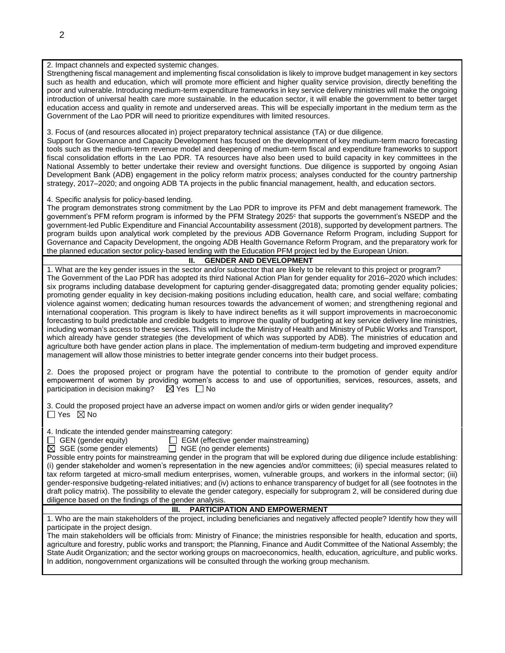2. Impact channels and expected systemic changes.

Strengthening fiscal management and implementing fiscal consolidation is likely to improve budget management in key sectors such as health and education, which will promote more efficient and higher quality service provision, directly benefiting the poor and vulnerable. Introducing medium-term expenditure frameworks in key service delivery ministries will make the ongoing introduction of universal health care more sustainable. In the education sector, it will enable the government to better target education access and quality in remote and underserved areas. This will be especially important in the medium term as the Government of the Lao PDR will need to prioritize expenditures with limited resources.

3. Focus of (and resources allocated in) project preparatory technical assistance (TA) or due diligence.

Support for Governance and Capacity Development has focused on the development of key medium-term macro forecasting tools such as the medium-term revenue model and deepening of medium-term fiscal and expenditure frameworks to support fiscal consolidation efforts in the Lao PDR. TA resources have also been used to build capacity in key committees in the National Assembly to better undertake their review and oversight functions. Due diligence is supported by ongoing Asian Development Bank (ADB) engagement in the policy reform matrix process; analyses conducted for the country partnership strategy, 2017–2020; and ongoing ADB TA projects in the public financial management, health, and education sectors.

4. Specific analysis for policy-based lending.

The program demonstrates strong commitment by the Lao PDR to improve its PFM and debt management framework. The government's PFM reform program is informed by the PFM Strategy 2025<sup>c</sup> that supports the government's NSEDP and the government-led Public Expenditure and Financial Accountability assessment (2018), supported by development partners. The program builds upon analytical work completed by the previous ADB Governance Reform Program, including Support for Governance and Capacity Development, the ongoing ADB Health Governance Reform Program, and the preparatory work for the planned education sector policy-based lending with the Education PFM project led by the European Union.

#### **II. GENDER AND DEVELOPMENT**

1. What are the key gender issues in the sector and/or subsector that are likely to be relevant to this project or program? The Government of the Lao PDR has adopted its third National Action Plan for gender equality for 2016–2020 which includes: six programs including database development for capturing gender-disaggregated data; promoting gender equality policies; promoting gender equality in key decision-making positions including education, health care, and social welfare; combating violence against women; dedicating human resources towards the advancement of women; and strengthening regional and international cooperation. This program is likely to have indirect benefits as it will support improvements in macroeconomic forecasting to build predictable and credible budgets to improve the quality of budgeting at key service delivery line ministries, including woman's access to these services. This will include the Ministry of Health and Ministry of Public Works and Transport, which already have gender strategies (the development of which was supported by ADB). The ministries of education and agriculture both have gender action plans in place. The implementation of medium-term budgeting and improved expenditure management will allow those ministries to better integrate gender concerns into their budget process.

2. Does the proposed project or program have the potential to contribute to the promotion of gender equity and/or empowerment of women by providing women's access to and use of opportunities, services, resources, assets, and participation in decision making?  $\boxtimes$  Yes  $\Box$  No

3. Could the proposed project have an adverse impact on women and/or girls or widen gender inequality?  $\Box$  Yes  $\boxtimes$  No

4. Indicate the intended gender mainstreaming category:

GEN (gender equity) EGM (effective gender mainstreaming)

 $\boxtimes$  SGE (some gender elements)  $\Box$  NGE (no gender elements)

Possible entry points for mainstreaming gender in the program that will be explored during due diligence include establishing: (i) gender stakeholder and women's representation in the new agencies and/or committees; (ii) special measures related to tax reform targeted at micro-small medium enterprises, women, vulnerable groups, and workers in the informal sector; (iii) gender-responsive budgeting-related initiatives; and (iv) actions to enhance transparency of budget for all (see footnotes in the draft policy matrix). The possibility to elevate the gender category, especially for subprogram 2, will be considered during due diligence based on the findings of the gender analysis.

## **III. PARTICIPATION AND EMPOWERMENT**

1. Who are the main stakeholders of the project, including beneficiaries and negatively affected people? Identify how they will participate in the project design.

The main stakeholders will be officials from: Ministry of Finance; the ministries responsible for health, education and sports, agriculture and forestry, public works and transport; the Planning, Finance and Audit Committee of the National Assembly; the State Audit Organization; and the sector working groups on macroeconomics, health, education, agriculture, and public works. In addition, nongovernment organizations will be consulted through the working group mechanism.